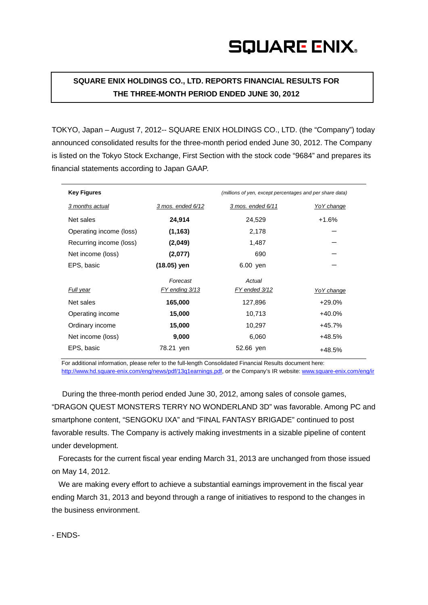**SQUARE ENIX HOLDINGS CO., LTD. REPORTS FINANCIAL RESULTS FOR THE THREE-MONTH PERIOD ENDED JUNE 30, 2012**

TOKYO, Japan – August 7, 2012-- SQUARE ENIX HOLDINGS CO., LTD. (the "Company") today announced consolidated results for the three-month period ended June 30, 2012. The Company is listed on the Tokyo Stock Exchange, First Section with the stock code "9684" and prepares its financial statements according to Japan GAAP.

| <b>Key Figures</b>      |                       | (millions of yen, except percentages and per share data) |                   |
|-------------------------|-----------------------|----------------------------------------------------------|-------------------|
| 3 months actual         | $3$ mos. ended $6/12$ | 3 mos. ended 6/11                                        | Yo Y change       |
| Net sales               | 24,914                | 24,529                                                   | $+1.6%$           |
| Operating income (loss) | (1, 163)              | 2,178                                                    |                   |
| Recurring income (loss) | (2,049)               | 1,487                                                    |                   |
| Net income (loss)       | (2,077)               | 690                                                      |                   |
| EPS, basic              | (18.05) yen           | $6.00$ yen                                               |                   |
|                         | Forecast              | Actual                                                   |                   |
| <b>Full year</b>        | FY ending 3/13        | FY ended 3/12                                            | <b>YoY</b> change |
| Net sales               | 165,000               | 127,896                                                  | +29.0%            |
| Operating income        | 15,000                | 10,713                                                   | $+40.0%$          |
| Ordinary income         | 15,000                | 10,297                                                   | +45.7%            |
| Net income (loss)       | 9,000                 | 6,060                                                    | +48.5%            |
| EPS, basic              | 78.21 yen             | 52.66 yen                                                | $+48.5%$          |

For additional information, please refer to the full-length Consolidated Financial Results document here: http://www.hd.square-enix.com/eng/news/pdf/13q1earnings.pdf, or the Company's IR website: [www.square-enix.com/eng/ir](http://www.square-enix.com/eng/ir)

During the three-month period ended June 30, 2012, among sales of console games, "DRAGON QUEST MONSTERS TERRY NO WONDERLAND 3D" was favorable. Among PC and smartphone content, "SENGOKU IXA" and "FINAL FANTASY BRIGADE" continued to post favorable results. The Company is actively making investments in a sizable pipeline of content under development.

Forecasts for the current fiscal year ending March 31, 2013 are unchanged from those issued on May 14, 2012.

We are making every effort to achieve a substantial earnings improvement in the fiscal year ending March 31, 2013 and beyond through a range of initiatives to respond to the changes in the business environment.

- ENDS-